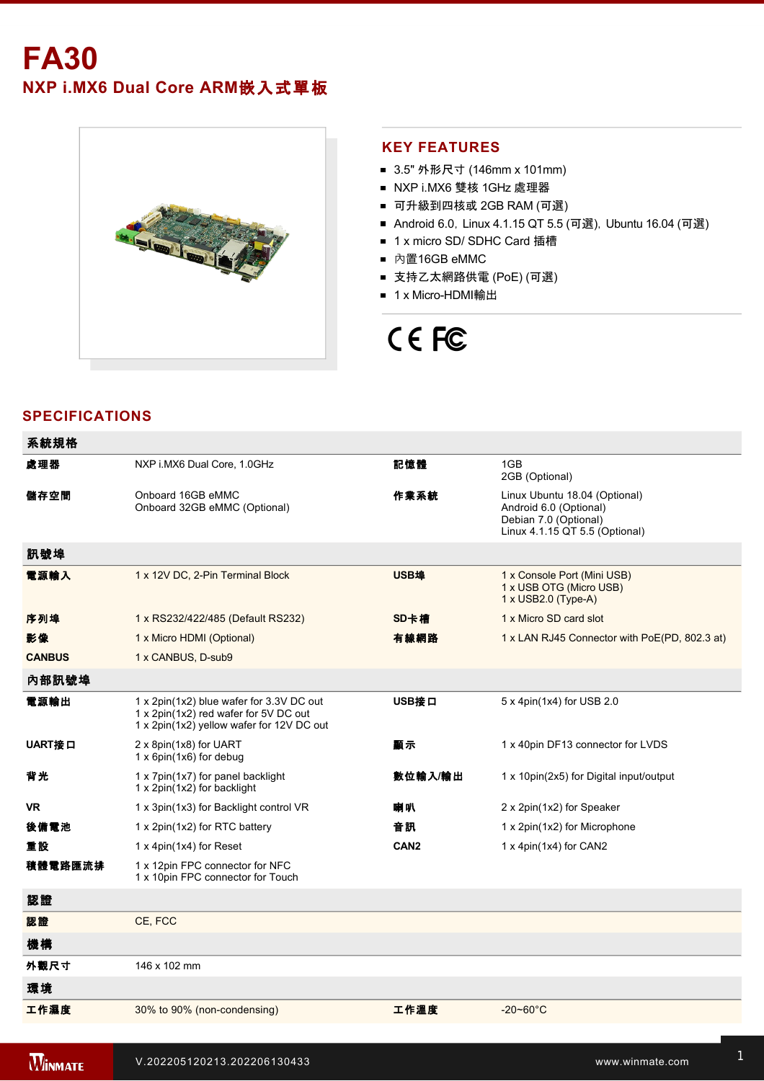# **FA30 NXP i.MX6 Dual Core ARM**嵌入式單板



### **KEY FEATURES**

- 3.5" 外形尺寸 (146mm x 101mm)
- NXP i.MX6 雙核 1GHz 處理器
- 可升級到四核或 2GB RAM (可選)
- Android 6.0, Linux 4.1.15 QT 5.5 (可選), Ubuntu 16.04 (可選)
- 1 x micro SD/ SDHC Card 插槽
- 內置16GB eMMC
- 支持乙太網路供電 (PoE) (可選)
- 1 x Micro-HDMI輸出

# CE FC

# **SPECIFICATIONS**

| 系統規格          |                                                                                                                                |                  |                                                                                                                    |
|---------------|--------------------------------------------------------------------------------------------------------------------------------|------------------|--------------------------------------------------------------------------------------------------------------------|
| 處理器           | NXP i.MX6 Dual Core, 1.0GHz                                                                                                    | 記憶體              | 1GB<br>2GB (Optional)                                                                                              |
| 儲存空間          | Onboard 16GB eMMC<br>Onboard 32GB eMMC (Optional)                                                                              | 作業系統             | Linux Ubuntu 18.04 (Optional)<br>Android 6.0 (Optional)<br>Debian 7.0 (Optional)<br>Linux 4.1.15 QT 5.5 (Optional) |
| 訊號埠           |                                                                                                                                |                  |                                                                                                                    |
| 電源輸入          | 1 x 12V DC, 2-Pin Terminal Block                                                                                               | USB埠             | 1 x Console Port (Mini USB)<br>1 x USB OTG (Micro USB)<br>1 x USB2.0 (Type-A)                                      |
| 序列埠           | 1 x RS232/422/485 (Default RS232)                                                                                              | SD卡槽             | 1 x Micro SD card slot                                                                                             |
| 影像            | 1 x Micro HDMI (Optional)                                                                                                      | 有線網路             | 1 x LAN RJ45 Connector with PoE(PD, 802.3 at)                                                                      |
| <b>CANBUS</b> | 1 x CANBUS, D-sub9                                                                                                             |                  |                                                                                                                    |
| 內部訊號埠         |                                                                                                                                |                  |                                                                                                                    |
| 電源輸出          | 1 x 2pin(1x2) blue wafer for 3.3V DC out<br>1 x 2pin(1x2) red wafer for 5V DC out<br>1 x 2pin(1x2) yellow wafer for 12V DC out | USB接口            | 5 x 4pin(1x4) for USB 2.0                                                                                          |
| UART接口        | 2 x 8pin(1x8) for UART<br>1 x 6pin(1x6) for debug                                                                              | 顧示               | 1 x 40pin DF13 connector for LVDS                                                                                  |
| 背光            | 1 x 7pin(1x7) for panel backlight<br>1 x 2pin(1x2) for backlight                                                               | 數位輸入/輸出          | 1 x 10pin(2x5) for Digital input/output                                                                            |
| <b>VR</b>     | 1 x 3pin(1x3) for Backlight control VR                                                                                         | 喇叭               | 2 x 2pin(1x2) for Speaker                                                                                          |
| 後備置池          | 1 x 2pin(1x2) for RTC battery                                                                                                  | 音訊               | 1 x 2pin(1x2) for Microphone                                                                                       |
| 重設            | 1 x 4pin(1x4) for Reset                                                                                                        | CAN <sub>2</sub> | 1 x 4pin(1x4) for CAN2                                                                                             |
| 積體電路匯流排       | 1 x 12pin FPC connector for NFC<br>1 x 10pin FPC connector for Touch                                                           |                  |                                                                                                                    |
| 認證            |                                                                                                                                |                  |                                                                                                                    |
| 認證            | CE, FCC                                                                                                                        |                  |                                                                                                                    |
| 機構            |                                                                                                                                |                  |                                                                                                                    |
| 外觀尺寸          | 146 x 102 mm                                                                                                                   |                  |                                                                                                                    |
| 環境            |                                                                                                                                |                  |                                                                                                                    |
| 工作濕度          | 30% to 90% (non-condensing)                                                                                                    | 工作溫度             | $-20 - 60^{\circ}$ C                                                                                               |